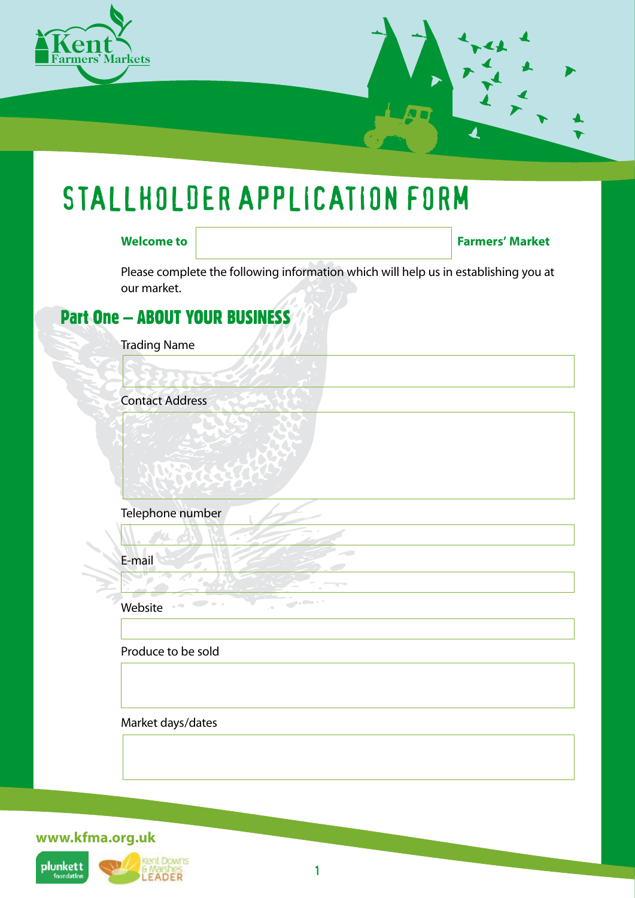

# STALLHOLDER APPLICATION FORM

**Welcome to Farmers' Market** 

Please complete the following information which will help us in establishing you at our market.

## Part One – ABOUT YOUR BUSINESS

Trading Name

Contact Address

Telephone number

E-mail

Website

Produce to be sold

Market days/dates

**www.kfma.org.uk**



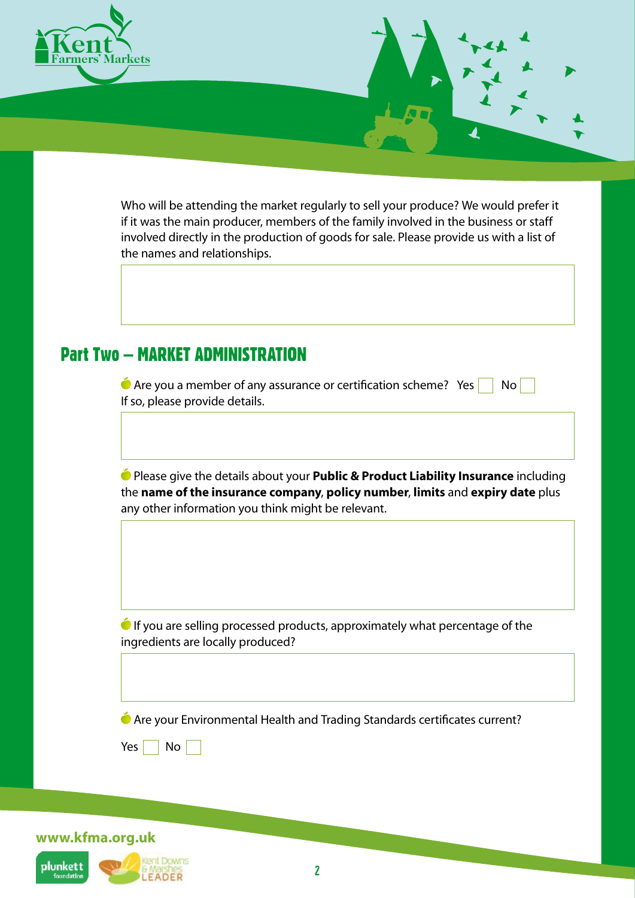

**www.kfma.org.uk**